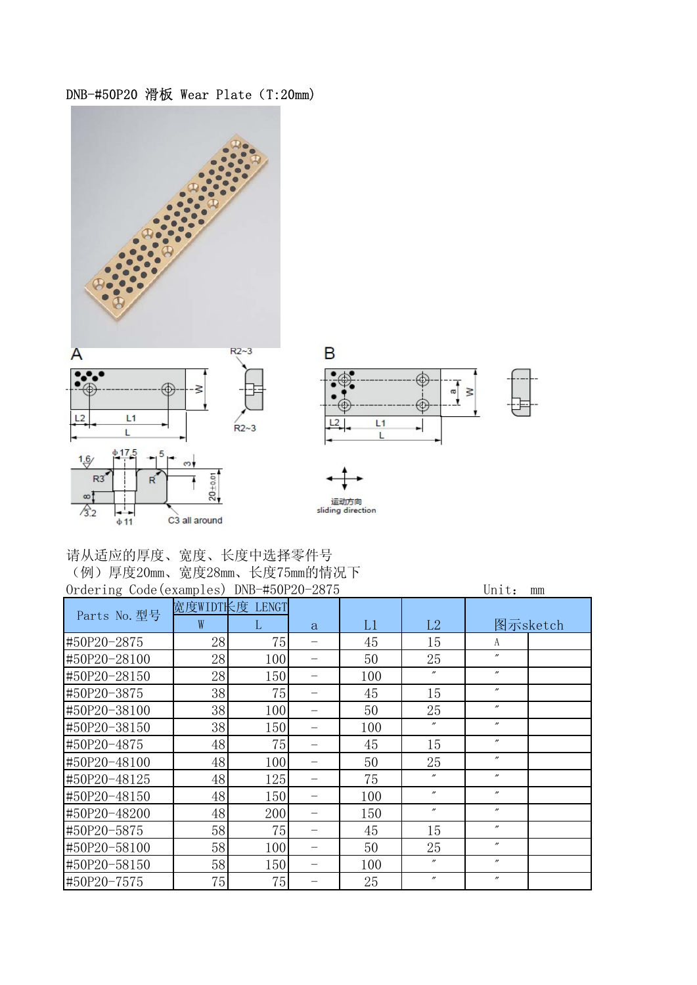

| 请从适应的厚度、宽度、长度中选择零件号         |
|-----------------------------|
| (例)厚度20mm、宽度28mm、长度75mm的情况下 |
|                             |

| Ordering Code (examples) DNB-#50P20-2875 |                |     |  |     |                   | Unit:<br>mm       |          |
|------------------------------------------|----------------|-----|--|-----|-------------------|-------------------|----------|
| Parts No. 型号                             | 宽度WIDT长度 LENGT |     |  |     |                   |                   |          |
|                                          | W              | L   |  | L1  | L2                |                   | 图示sketch |
| #50P20-2875                              | 28             | 75  |  | 45  | 15                | A                 |          |
| #50P20-28100                             | 28             | 100 |  | 50  | 25                | $^{\prime\prime}$ |          |
| #50P20-28150                             | 28             | 150 |  | 100 | $^{\prime\prime}$ | $^{\prime\prime}$ |          |
| #50P20-3875                              | 38             | 75  |  | 45  | 15                | $^{\prime\prime}$ |          |
| #50P20-38100                             | 38             | 100 |  | 50  | 25                | $^{\prime\prime}$ |          |
| #50P20-38150                             | 38             | 150 |  | 100 | $^{\prime\prime}$ | $^{\prime\prime}$ |          |
| #50P20-4875                              | 48             | 75  |  | 45  | 15                | $^{\prime\prime}$ |          |
| #50P20-48100                             | 48             | 100 |  | 50  | 25                | $^{\prime\prime}$ |          |
| #50P20-48125                             | 48             | 125 |  | 75  | $^{\prime\prime}$ | $^{\prime\prime}$ |          |
| #50P20-48150                             | 48             | 150 |  | 100 | $^{\prime\prime}$ | $^{\prime\prime}$ |          |
| #50P20-48200                             | 48             | 200 |  | 150 | $^{\prime\prime}$ | $^{\prime\prime}$ |          |
| #50P20-5875                              | 58             | 75  |  | 45  | 15                | $^{\prime\prime}$ |          |
| #50P20-58100                             | 58             | 100 |  | 50  | 25                | $^{\prime\prime}$ |          |
| #50P20-58150                             | 58             | 150 |  | 100 | $\prime\prime$    | $^{\prime\prime}$ |          |
| #50P20-7575                              | 75             | 75  |  | 25  | $^{\prime\prime}$ | $^{\prime\prime}$ |          |